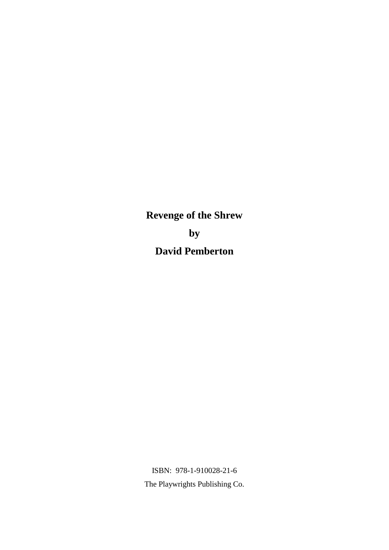**Revenge of the Shrew by David Pemberton**

ISBN: 978-1-910028-21-6 The Playwrights Publishing Co.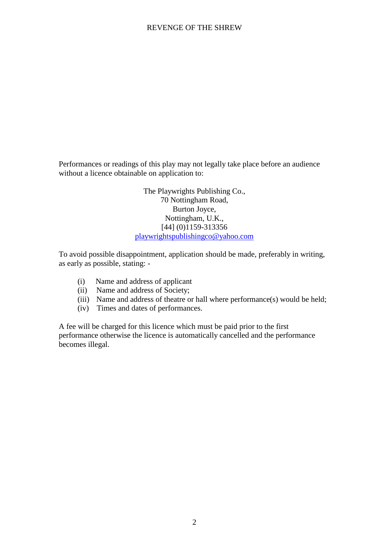Performances or readings of this play may not legally take place before an audience without a licence obtainable on application to:

> The Playwrights Publishing Co., 70 Nottingham Road, Burton Joyce, Nottingham, U.K., [44] (0)1159-313356 playwrightspublishingco@yahoo.com

To avoid possible disappointment, application should be made, preferably in writing, as early as possible, stating: -

- (i) Name and address of applicant
- (ii) Name and address of Society;
- (iii) Name and address of theatre or hall where performance(s) would be held;
- (iv) Times and dates of performances.

A fee will be charged for this licence which must be paid prior to the first performance otherwise the licence is automatically cancelled and the performance becomes illegal.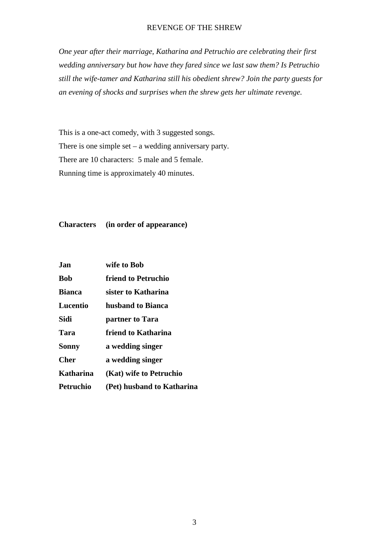*One year after their marriage, Katharina and Petruchio are celebrating their first wedding anniversary but how have they fared since we last saw them? Is Petruchio still the wife-tamer and Katharina still his obedient shrew? Join the party guests for an evening of shocks and surprises when the shrew gets her ultimate revenge.*

This is a one-act comedy, with 3 suggested songs. There is one simple set – a wedding anniversary party. There are 10 characters: 5 male and 5 female. Running time is approximately 40 minutes.

**Characters (in order of appearance)**

| Jan              | wife to Bob                |
|------------------|----------------------------|
| <b>Bob</b>       | friend to Petruchio        |
| <b>Bianca</b>    | sister to Katharina        |
| Lucentio         | husband to Bianca          |
| Sidi             | partner to Tara            |
| Tara             | friend to Katharina        |
| <b>Sonny</b>     | a wedding singer           |
| Cher             | a wedding singer           |
| Katharina        | (Kat) wife to Petruchio    |
| <b>Petruchio</b> | (Pet) husband to Katharina |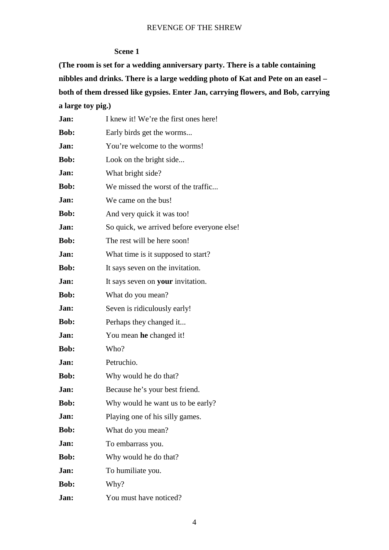#### **Scene 1**

**(The room is set for a wedding anniversary party. There is a table containing nibbles and drinks. There is a large wedding photo of Kat and Pete on an easel – both of them dressed like gypsies. Enter Jan, carrying flowers, and Bob, carrying a large toy pig.)**

| Jan:        | I knew it! We're the first ones here!      |
|-------------|--------------------------------------------|
| Bob:        | Early birds get the worms                  |
| Jan:        | You're welcome to the worms!               |
| <b>Bob:</b> | Look on the bright side                    |
| Jan:        | What bright side?                          |
| Bob:        | We missed the worst of the traffic         |
| Jan:        | We came on the bus!                        |
| Bob:        | And very quick it was too!                 |
| Jan:        | So quick, we arrived before everyone else! |
| Bob:        | The rest will be here soon!                |
| Jan:        | What time is it supposed to start?         |
| Bob:        | It says seven on the invitation.           |
| Jan:        | It says seven on your invitation.          |
| <b>Bob:</b> | What do you mean?                          |
| Jan:        | Seven is ridiculously early!               |
| Bob:        | Perhaps they changed it                    |
| Jan:        | You mean he changed it!                    |
| Bob:        | Who?                                       |
| Jan:        | Petruchio.                                 |
| Bob:        | Why would he do that?                      |
| Jan:        | Because he's your best friend.             |
| Bob:        | Why would he want us to be early?          |
| Jan:        | Playing one of his silly games.            |
| Bob:        | What do you mean?                          |
| Jan:        | To embarrass you.                          |
| Bob:        | Why would he do that?                      |
| Jan:        | To humiliate you.                          |
| Bob:        | Why?                                       |
| Jan:        | You must have noticed?                     |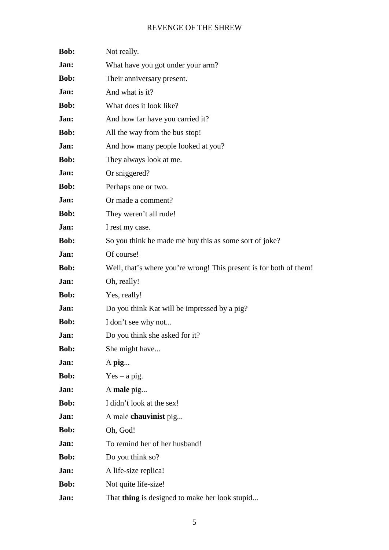| Bob:        | Not really.                                                        |
|-------------|--------------------------------------------------------------------|
| Jan:        | What have you got under your arm?                                  |
| <b>Bob:</b> | Their anniversary present.                                         |
| Jan:        | And what is it?                                                    |
| Bob:        | What does it look like?                                            |
| Jan:        | And how far have you carried it?                                   |
| <b>Bob:</b> | All the way from the bus stop!                                     |
| Jan:        | And how many people looked at you?                                 |
| Bob:        | They always look at me.                                            |
| Jan:        | Or sniggered?                                                      |
| Bob:        | Perhaps one or two.                                                |
| Jan:        | Or made a comment?                                                 |
| Bob:        | They weren't all rude!                                             |
| Jan:        | I rest my case.                                                    |
| Bob:        | So you think he made me buy this as some sort of joke?             |
| Jan:        | Of course!                                                         |
| Bob:        | Well, that's where you're wrong! This present is for both of them! |
| Jan:        | Oh, really!                                                        |
| Bob:        | Yes, really!                                                       |
| Jan:        | Do you think Kat will be impressed by a pig?                       |
| Bob:        | I don't see why not                                                |
| Jan:        | Do you think she asked for it?                                     |
| Bob:        | She might have                                                     |
| Jan:        | A pig                                                              |
| <b>Bob:</b> | $Yes - a pig.$                                                     |
| Jan:        | A male pig                                                         |
| Bob:        | I didn't look at the sex!                                          |
| Jan:        | A male chauvinist pig                                              |
| Bob:        | Oh, God!                                                           |
| Jan:        | To remind her of her husband!                                      |
| Bob:        | Do you think so?                                                   |
| Jan:        | A life-size replica!                                               |
| Bob:        | Not quite life-size!                                               |
| Jan:        | That thing is designed to make her look stupid                     |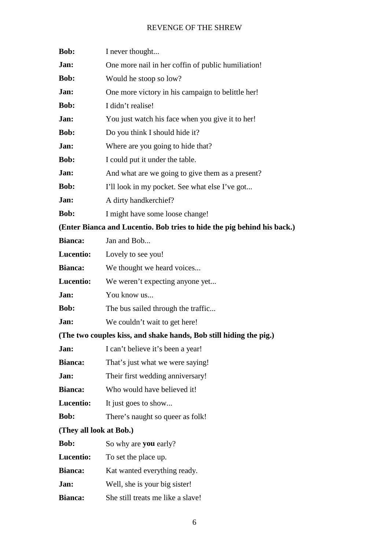| Bob:                    | I never thought                                                         |
|-------------------------|-------------------------------------------------------------------------|
| Jan:                    | One more nail in her coffin of public humiliation!                      |
| Bob:                    | Would he stoop so low?                                                  |
| Jan:                    | One more victory in his campaign to belittle her!                       |
| Bob:                    | I didn't realise!                                                       |
| Jan:                    | You just watch his face when you give it to her!                        |
| Bob:                    | Do you think I should hide it?                                          |
| Jan:                    | Where are you going to hide that?                                       |
| <b>Bob:</b>             | I could put it under the table.                                         |
| Jan:                    | And what are we going to give them as a present?                        |
| <b>Bob:</b>             | I'll look in my pocket. See what else I've got                          |
| Jan:                    | A dirty handkerchief?                                                   |
| Bob:                    | I might have some loose change!                                         |
|                         | (Enter Bianca and Lucentio. Bob tries to hide the pig behind his back.) |
| <b>Bianca:</b>          | Jan and Bob                                                             |
| Lucentio:               | Lovely to see you!                                                      |
| <b>Bianca:</b>          | We thought we heard voices                                              |
| Lucentio:               | We weren't expecting anyone yet                                         |
| Jan:                    | You know us                                                             |
| Bob:                    | The bus sailed through the traffic                                      |
| Jan:                    | We couldn't wait to get here!                                           |
|                         | (The two couples kiss, and shake hands, Bob still hiding the pig.)      |
| Jan:                    | I can't believe it's been a year!                                       |
| <b>Bianca:</b>          | That's just what we were saying!                                        |
| Jan:                    | Their first wedding anniversary!                                        |
| <b>Bianca:</b>          | Who would have believed it!                                             |
| Lucentio:               | It just goes to show                                                    |
| Bob:                    | There's naught so queer as folk!                                        |
| (They all look at Bob.) |                                                                         |
| Bob:                    | So why are you early?                                                   |
| Lucentio:               | To set the place up.                                                    |
| <b>Bianca:</b>          | Kat wanted everything ready.                                            |
| Jan:                    | Well, she is your big sister!                                           |
| <b>Bianca:</b>          | She still treats me like a slave!                                       |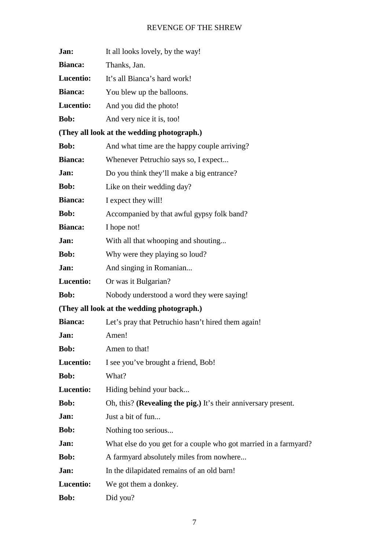| Jan:             | It all looks lovely, by the way!                                 |  |  |
|------------------|------------------------------------------------------------------|--|--|
| Bianca:          | Thanks, Jan.                                                     |  |  |
| Lucentio:        | It's all Bianca's hard work!                                     |  |  |
| <b>Bianca:</b>   | You blew up the balloons.                                        |  |  |
| Lucentio:        | And you did the photo!                                           |  |  |
| Bob:             | And very nice it is, too!                                        |  |  |
|                  | (They all look at the wedding photograph.)                       |  |  |
| Bob:             | And what time are the happy couple arriving?                     |  |  |
| <b>Bianca:</b>   | Whenever Petruchio says so, I expect                             |  |  |
| Jan:             | Do you think they'll make a big entrance?                        |  |  |
| <b>Bob:</b>      | Like on their wedding day?                                       |  |  |
| <b>Bianca:</b>   | I expect they will!                                              |  |  |
| Bob:             | Accompanied by that awful gypsy folk band?                       |  |  |
| <b>Bianca:</b>   | I hope not!                                                      |  |  |
| Jan:             | With all that whooping and shouting                              |  |  |
| <b>Bob:</b>      | Why were they playing so loud?                                   |  |  |
| Jan:             | And singing in Romanian                                          |  |  |
| Lucentio:        | Or was it Bulgarian?                                             |  |  |
| Bob:             | Nobody understood a word they were saying!                       |  |  |
|                  | (They all look at the wedding photograph.)                       |  |  |
| Bianca:          | Let's pray that Petruchio hasn't hired them again!               |  |  |
| Jan:             | Amen!                                                            |  |  |
| Bob:             | Amen to that!                                                    |  |  |
| Lucentio:        | I see you've brought a friend, Bob!                              |  |  |
| Bob:             | What?                                                            |  |  |
| <b>Lucentio:</b> | Hiding behind your back                                          |  |  |
| Bob:             | Oh, this? (Revealing the pig.) It's their anniversary present.   |  |  |
| Jan:             | Just a bit of fun                                                |  |  |
| <b>Bob:</b>      | Nothing too serious                                              |  |  |
| Jan:             | What else do you get for a couple who got married in a farmyard? |  |  |
| <b>Bob:</b>      | A farmyard absolutely miles from nowhere                         |  |  |
| Jan:             | In the dilapidated remains of an old barn!                       |  |  |
| Lucentio:        | We got them a donkey.                                            |  |  |
| Bob:             | Did you?                                                         |  |  |